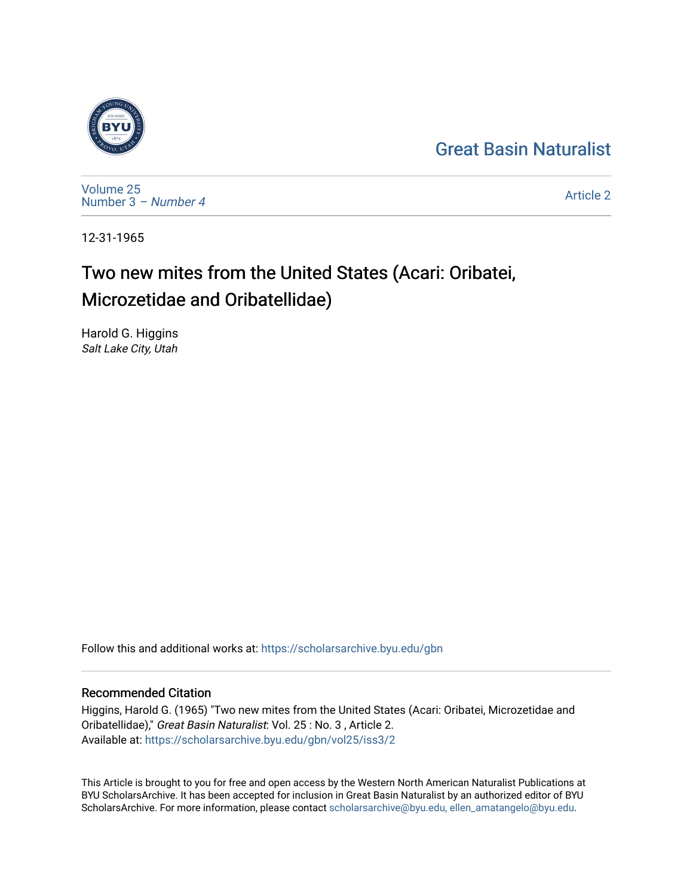## [Great Basin Naturalist](https://scholarsarchive.byu.edu/gbn)



[Volume 25](https://scholarsarchive.byu.edu/gbn/vol25) [Number 3](https://scholarsarchive.byu.edu/gbn/vol25/iss3) – Number 4

[Article 2](https://scholarsarchive.byu.edu/gbn/vol25/iss3/2) 

12-31-1965

# Two new mites from the United States (Acari: Oribatei, Microzetidae and Oribatellidae)

Harold G. Higgins Salt Lake City, Utah

Follow this and additional works at: [https://scholarsarchive.byu.edu/gbn](https://scholarsarchive.byu.edu/gbn?utm_source=scholarsarchive.byu.edu%2Fgbn%2Fvol25%2Fiss3%2F2&utm_medium=PDF&utm_campaign=PDFCoverPages) 

## Recommended Citation

Higgins, Harold G. (1965) "Two new mites from the United States (Acari: Oribatei, Microzetidae and Oribatellidae)," Great Basin Naturalist: Vol. 25 : No. 3 , Article 2. Available at: [https://scholarsarchive.byu.edu/gbn/vol25/iss3/2](https://scholarsarchive.byu.edu/gbn/vol25/iss3/2?utm_source=scholarsarchive.byu.edu%2Fgbn%2Fvol25%2Fiss3%2F2&utm_medium=PDF&utm_campaign=PDFCoverPages)

This Article is brought to you for free and open access by the Western North American Naturalist Publications at BYU ScholarsArchive. It has been accepted for inclusion in Great Basin Naturalist by an authorized editor of BYU ScholarsArchive. For more information, please contact [scholarsarchive@byu.edu, ellen\\_amatangelo@byu.edu.](mailto:scholarsarchive@byu.edu,%20ellen_amatangelo@byu.edu)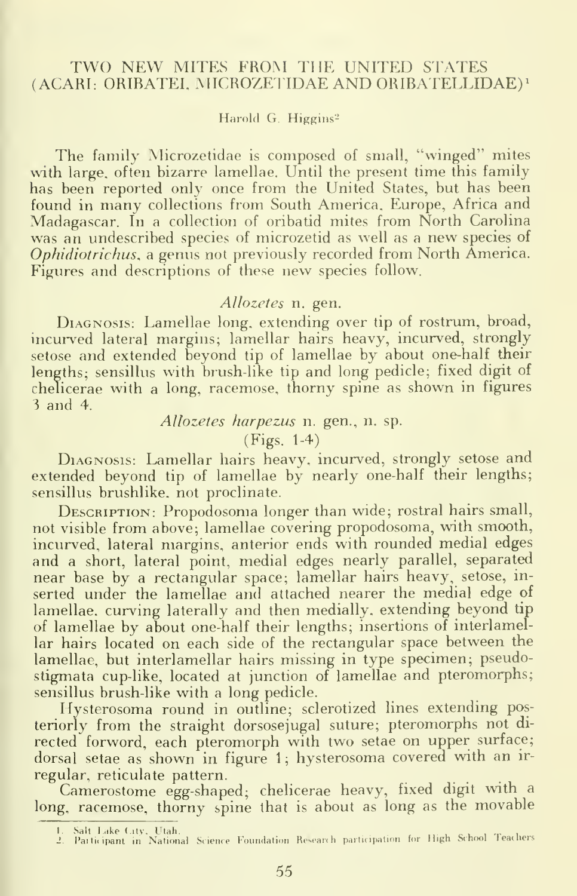#### TWO NEW MITES FROM THE UNITED STATES (ACARI: ORIBATEI, MICROZETIDAE AND ORIBATELLIDAE)'

Harold G. Higgins<sup>2</sup>

The family Microzetidae is composed of small, "winged" mites with large, often bizarre lamellae. Until the present time this family has been reported only once from the United States, but has been found in many collections from South America. Europe, Africa and Madagascar. In a collection of oribatid mites from North Carolina was an undescribed species of microzetid as well as a new species of Ophidiotrichus, a genus not previously recorded from North America. Figures and descriptions of these new species follow.

#### Allozetes n. gen.

DIAGNOSIS: Lamellae long, extending over tip of rostrum, broad, incurved lateral margins; lamellar hairs heavy, incurved, strongly setose and extended beyond tip of lamellae by about one-half their lengths; sensillus with brush-like tip and long pedicle; fixed digit of chelicerae with <sup>a</sup> long, racemose, thorny spine as shown in figures <sup>3</sup> and 4.

#### Allozetes harpezus n. gen., n. sp.

(Figs. 1-4)

Diagnosis: Lamellar hairs heavy, incurved, strongly setose and extended beyond tip of lamellae by nearly one-half their lengths; sensillus brushlike, not proclinate.

DESCRIPTION: Propodosoma longer than wide; rostral hairs small, not visible from above; lamellae covering propodosoma, with smooth, incurved, lateral margins, anterior ends with rounded medial edges and a short, lateral point, medial edges nearly parallel, separated near base by a rectangular space; lamellar hairs heavy, setose, in serted under the lamellae and attached nearer the medial edge of lamellae, curving laterally and then medially, extending beyond tip of lamellae by about one-half their lengths; insertions of interlamellar hairs located on each side of the rectangular space between the lamellae, but interlamellar hairs missing in type specimen; pseudostigmata cup-like, located at junction of lamellae and pteromorphs; sensillus brush-like with a long pedicle.

Hysterosoma round in outline; sclerotized lines extending posteriorly from the straight dorsosejugal suture; pteromorphs not di rected forword, each pteromorph with two setae on upper surface; dorsal setae as shown in figure 1; hysterosoma covered with an irregular, reticulate pattern.

Camerostome egg-shaped; chelicerae heavy, fixed digit with a long, racemose, thorny spine that is about as long as the movable

<sup>1.</sup> Salt Lake City, Utah.<br>2. Participant in National Science Foundation Research participation for High School Teachers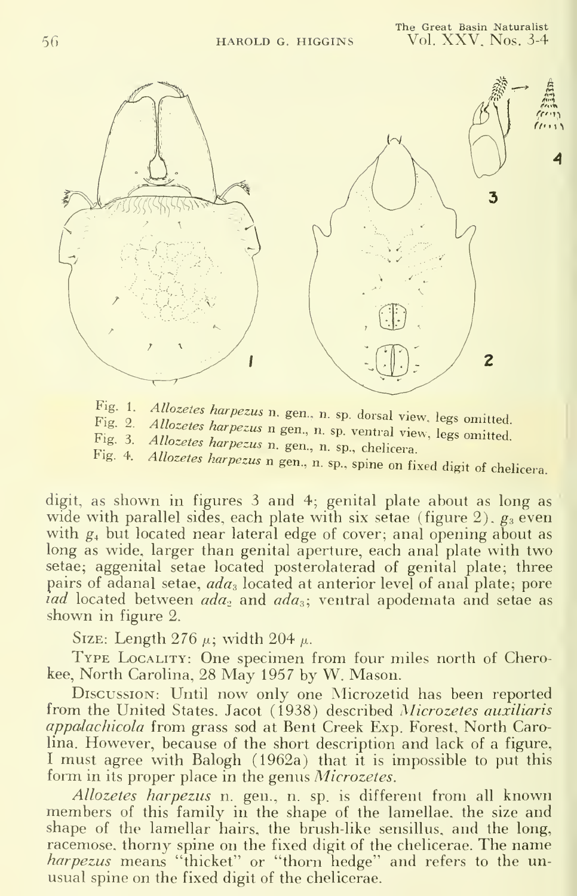

Fig.  $1$ . Allozetes harpezus n. gen., n. sp. dorsal view, legs omitted.<br>Allozetes harpezus n gen., n. sp. ventral view, legs omitted.

<sup>1</sup> <sup>1</sup> <sup>1</sup> 5. 2. Attozetes harpezus n g<br>Fig. 3. Allozetes harpezus n q<br>Fig. 4. Allozetes harpezus n q

Fig. 4. Allozetes harpezus n gen., n. sp., chemera.  $\frac{d}{dx}$  and  $\frac{d}{dx}$ .  $\frac{d}{dx}$  and  $\frac{d}{dx}$  are  $\frac{d}{dx}$ .

digit, as shown in figures <sup>3</sup> and 4; genital plate about as long as wide with parallel sides, each plate with six setae (figure 2),  $g_3$  even with  $g_4$  but located near lateral edge of cover; anal opening about as long as wide, larger than genital aperture, each anal plate with two setae; aggenital setae located posterolaterad of genital plate; three pairs of adanal setae,  $ada_3$  located at anterior level of anal plate; pore *iad* located between  $ada_2$  and  $ada_3$ ; ventral apodemata and setae as shown in figure 2.

SIZE: Length 276  $\mu$ ; width 204  $\mu$ .

TYPE LOCALITY: One specimen from four miles north of Cherokee, North Carolina, 28 May 1957 by W. Mason.

Discussion: Until now only one Microzetid has been reported from the United States. Jacot (1938) described Microzetes auxiliaris appalachicola from grass sod at Bent Creek Exp. Forest, North Carolina. However, because of the short description and lack of <sup>a</sup> figure, <sup>I</sup> must agree with Balogh (1962a) that it is impossible to put this form in its proper place in the genus Microzetes.

Allozetes harpezus n. gen., n. sp. is different from all known members of this family in the shape of the lamellae, the size and shape of the lamellar hairs, the brush-like sensillus, and the long, racemose, thorny spine on the fixed digit of the chelicerae. The name harpezus means "thicket" or "thorn hedge" and refers to the unusual spine on the fixed digit of the chelicerae.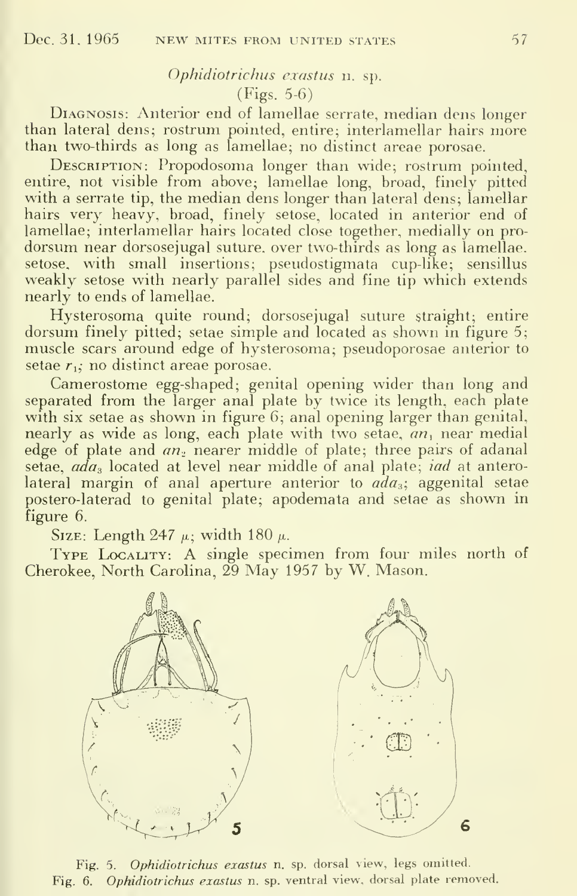## Ophidiotrichus exastus n. sp.

### (Figs. 5-6)

Diagnosis: Anterior end of lamellae serrate, median dens longer than lateral dens; rostrum pointed, entire; interlamellar hairs more than two-thirds as long as lamellae; no distinct areae porosae.

DESCRIPTION: Propodosoma longer than wide; rostrum pointed, entire, not visible from above; lamellae long, broad, finely pitted with a serrate tip, the median dens longer than lateral dens; lamellar hairs very heavy, broad, finely setose, located in anterior end of lamellae; interlamellar hairs located close together, medially on pro dorsum near dorsosejugal suture, over two-thirds as long as lamellae, setose, with small insertions; pseudostigmata cup-like; sensillus weakly setose with nearly parallel sides and fine tip which extends nearly to ends of lamellae.

Hysterosoma quite round; dorsosejugal suture straight; entire dorsum finely pitted; setae simple and located as shown in figure 5; muscle scars around edge of hysterosoma; pseudoporosae anterior to setae  $r_1$ ; no distinct areae porosae.

Camerostome egg-shaped; genital opening wider than long and separated from the larger anal plate by twice its length, each plate with six setae as shown in figure 6; anal opening larger than genital, nearly as wide as long, each plate with two setae,  $an_1$  near medial edge of plate and  $an_2$  nearer middle of plate; three pairs of adanal setae,  $a\bar{d}a_3$  located at level near middle of anal plate; *iad* at anterolateral margin of anal aperture anterior to  $ada_3$ , aggenital setae postero-laterad to genital plate; apodemata and setae as shown in figure 6.

SIZE: Length 247  $\mu$ ; width 180  $\mu$ .

TYPE LOCALITY: A single specimen from four miles north of Cherokee, North Carolina, 29 May 1957 by W. Mason.



Fig. 5. Ophidiotrichus exastus n. sp. dorsal view, legs omitted. Fig. 6. Ophidiotrichus exastus n. sp. ventral view, dorsal plate removed.